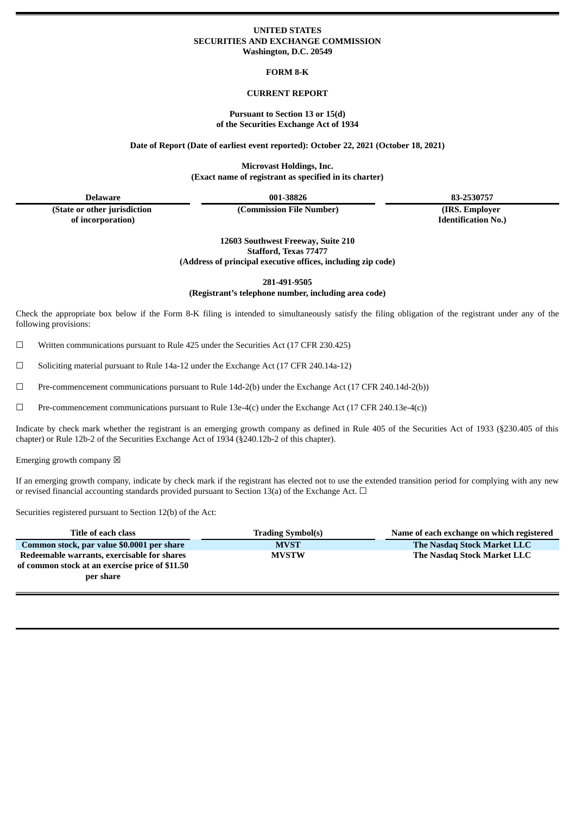### **UNITED STATES SECURITIES AND EXCHANGE COMMISSION Washington, D.C. 20549**

**FORM 8-K**

### **CURRENT REPORT**

### **Pursuant to Section 13 or 15(d) of the Securities Exchange Act of 1934**

**Date of Report (Date of earliest event reported): October 22, 2021 (October 18, 2021)**

**Microvast Holdings, Inc. (Exact name of registrant as specified in its charter)**

**(State or other jurisdiction of incorporation)**

**(Commission File Number) (IRS. Employer**

**Delaware 001-38826 83-2530757**

**Identification No.)**

**12603 Southwest Freeway, Suite 210 Stafford, Texas 77477 (Address of principal executive offices, including zip code)**

**281-491-9505**

**(Registrant's telephone number, including area code)**

Check the appropriate box below if the Form 8-K filing is intended to simultaneously satisfy the filing obligation of the registrant under any of the following provisions:

☐ Written communications pursuant to Rule 425 under the Securities Act (17 CFR 230.425)

 $\Box$  Soliciting material pursuant to Rule 14a-12 under the Exchange Act (17 CFR 240.14a-12)

☐ Pre-commencement communications pursuant to Rule 14d-2(b) under the Exchange Act (17 CFR 240.14d-2(b))

☐ Pre-commencement communications pursuant to Rule 13e-4(c) under the Exchange Act (17 CFR 240.13e-4(c))

Indicate by check mark whether the registrant is an emerging growth company as defined in Rule 405 of the Securities Act of 1933 (§230.405 of this chapter) or Rule 12b-2 of the Securities Exchange Act of 1934 (§240.12b-2 of this chapter).

Emerging growth company  $\boxtimes$ 

If an emerging growth company, indicate by check mark if the registrant has elected not to use the extended transition period for complying with any new or revised financial accounting standards provided pursuant to Section 13(a) of the Exchange Act.  $\Box$ 

Securities registered pursuant to Section 12(b) of the Act:

| Title of each class                                                                                         | <b>Trading Symbol(s)</b> | Name of each exchange on which registered |
|-------------------------------------------------------------------------------------------------------------|--------------------------|-------------------------------------------|
| Common stock, par value \$0.0001 per share                                                                  | <b>MVST</b>              | The Nasdag Stock Market LLC               |
| Redeemable warrants, exercisable for shares<br>of common stock at an exercise price of \$11.50<br>per share | <b>MVSTW</b>             | The Nasdag Stock Market LLC               |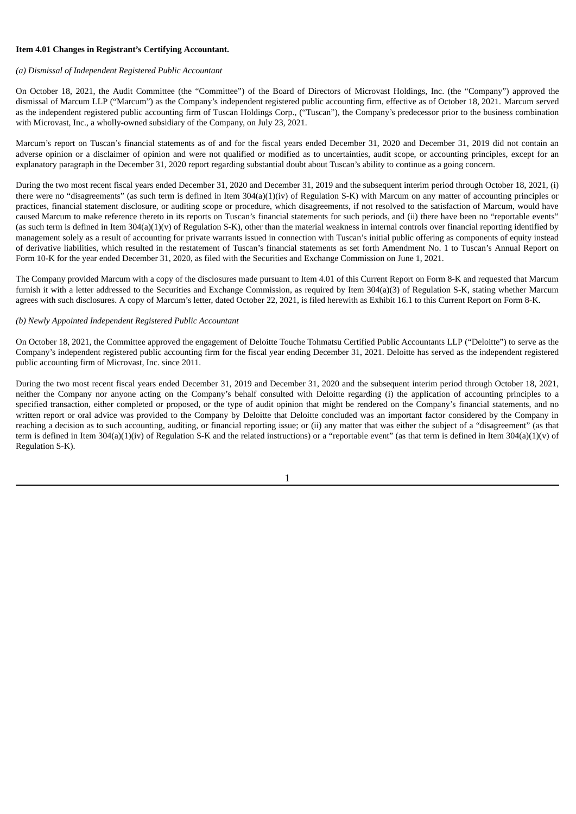### **Item 4.01 Changes in Registrant's Certifying Accountant.**

### *(a) Dismissal of Independent Registered Public Accountant*

On October 18, 2021, the Audit Committee (the "Committee") of the Board of Directors of Microvast Holdings, Inc. (the "Company") approved the dismissal of Marcum LLP ("Marcum") as the Company's independent registered public accounting firm, effective as of October 18, 2021. Marcum served as the independent registered public accounting firm of Tuscan Holdings Corp., ("Tuscan"), the Company's predecessor prior to the business combination with Microvast, Inc., a wholly-owned subsidiary of the Company, on July 23, 2021.

Marcum's report on Tuscan's financial statements as of and for the fiscal years ended December 31, 2020 and December 31, 2019 did not contain an adverse opinion or a disclaimer of opinion and were not qualified or modified as to uncertainties, audit scope, or accounting principles, except for an explanatory paragraph in the December 31, 2020 report regarding substantial doubt about Tuscan's ability to continue as a going concern.

During the two most recent fiscal years ended December 31, 2020 and December 31, 2019 and the subsequent interim period through October 18, 2021, (i) there were no "disagreements" (as such term is defined in Item 304(a)(1)(iv) of Regulation S-K) with Marcum on any matter of accounting principles or practices, financial statement disclosure, or auditing scope or procedure, which disagreements, if not resolved to the satisfaction of Marcum, would have caused Marcum to make reference thereto in its reports on Tuscan's financial statements for such periods, and (ii) there have been no "reportable events" (as such term is defined in Item 304(a)(1)(v) of Regulation S-K), other than the material weakness in internal controls over financial reporting identified by management solely as a result of accounting for private warrants issued in connection with Tuscan's initial public offering as components of equity instead of derivative liabilities, which resulted in the restatement of Tuscan's financial statements as set forth Amendment No. 1 to Tuscan's Annual Report on Form 10-K for the year ended December 31, 2020, as filed with the Securities and Exchange Commission on June 1, 2021.

The Company provided Marcum with a copy of the disclosures made pursuant to Item 4.01 of this Current Report on Form 8-K and requested that Marcum furnish it with a letter addressed to the Securities and Exchange Commission, as required by Item 304(a)(3) of Regulation S-K, stating whether Marcum agrees with such disclosures. A copy of Marcum's letter, dated October 22, 2021, is filed herewith as Exhibit 16.1 to this Current Report on Form 8-K.

### *(b) Newly Appointed Independent Registered Public Accountant*

On October 18, 2021, the Committee approved the engagement of Deloitte Touche Tohmatsu Certified Public Accountants LLP ("Deloitte") to serve as the Company's independent registered public accounting firm for the fiscal year ending December 31, 2021. Deloitte has served as the independent registered public accounting firm of Microvast, Inc. since 2011.

During the two most recent fiscal years ended December 31, 2019 and December 31, 2020 and the subsequent interim period through October 18, 2021, neither the Company nor anyone acting on the Company's behalf consulted with Deloitte regarding (i) the application of accounting principles to a specified transaction, either completed or proposed, or the type of audit opinion that might be rendered on the Company's financial statements, and no written report or oral advice was provided to the Company by Deloitte that Deloitte concluded was an important factor considered by the Company in reaching a decision as to such accounting, auditing, or financial reporting issue; or (ii) any matter that was either the subject of a "disagreement" (as that term is defined in Item 304(a)(1)(iv) of Regulation S-K and the related instructions) or a "reportable event" (as that term is defined in Item 304(a)(1)(v) of Regulation S-K).

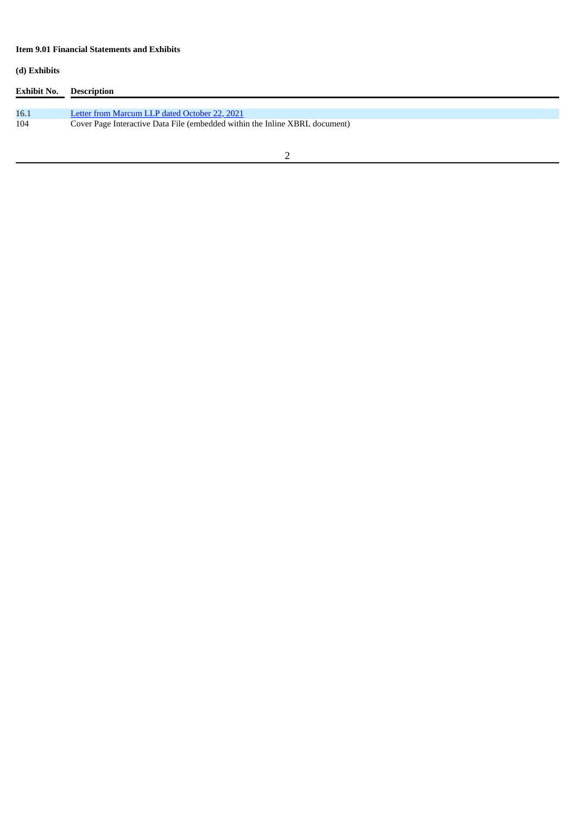# **Item 9.01 Financial Statements and Exhibits**

# **(d) Exhibits**

| Exhibit No. | Description                                                                 |
|-------------|-----------------------------------------------------------------------------|
|             |                                                                             |
| 16.1        | Letter from Marcum LLP dated October 22, 2021                               |
| 104         | Cover Page Interactive Data File (embedded within the Inline XBRL document) |
|             |                                                                             |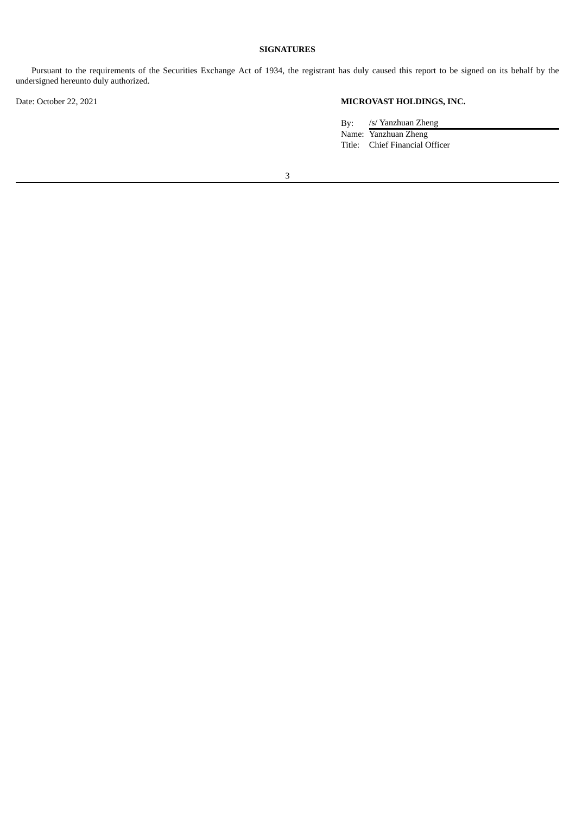### **SIGNATURES**

Pursuant to the requirements of the Securities Exchange Act of 1934, the registrant has duly caused this report to be signed on its behalf by the undersigned hereunto duly authorized.

# Date: October 22, 2021 **MICROVAST HOLDINGS, INC.**

By: /s/ Yanzhuan Zheng Name: Yanzhuan Zheng Title: Chief Financial Officer